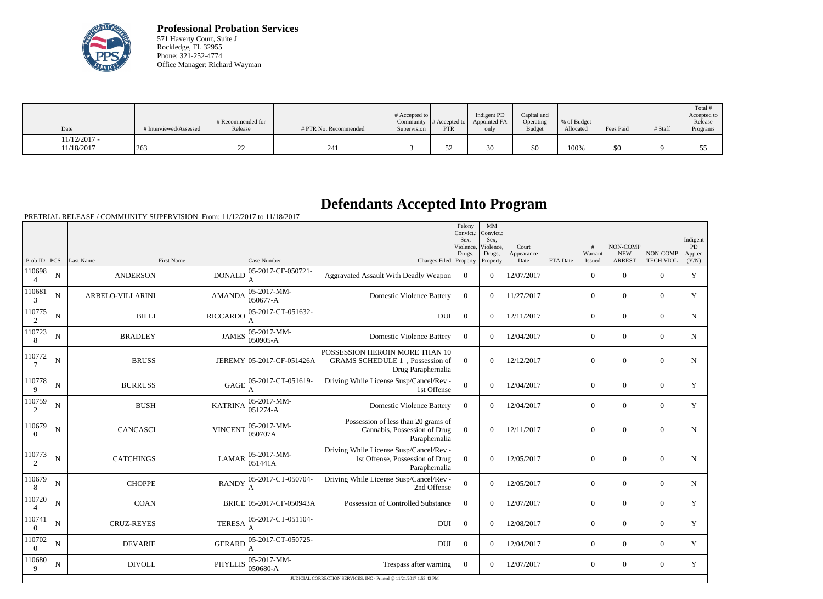

**Professional Probation Services** 571 Haverty Court, Suite J Rockledge, FL 32955 Phone: 321-252-4774 Office Manager: Richard Wayman

| $\vert$ Date                 | # Interviewed/Assessed | # Recommended for<br>Release | # PTR Not Recommended | $\#$ Accepted to $\ $<br>Supervision | Community $ #$ Accepted to $ $<br><b>PTR</b> | Indigent PD<br>Appointed FA<br>only | Capital and<br>Operating<br><b>Budget</b> | % of Budget<br>Allocated | Fees Paid | # Staff | Total<br>Accepted to<br>Release<br>Programs |
|------------------------------|------------------------|------------------------------|-----------------------|--------------------------------------|----------------------------------------------|-------------------------------------|-------------------------------------------|--------------------------|-----------|---------|---------------------------------------------|
| $11/12/2017$ -<br>11/18/2017 | 263                    | ∠∠                           | 241                   |                                      | ے ر                                          | υU                                  | \$0                                       | 100%                     | \$0       |         |                                             |

## **Defendants Accepted Into Program**

|                          |             |                   |                   |                                       |                                                                                             | Felony<br>Convict.:<br>Sex.<br>Violence, | $\mbox{MM}$<br>Convict.:<br>Sex,<br>Violence. | Court              |          | #                 | NON-COMP                    |                              | Indigent<br><b>PD</b> |
|--------------------------|-------------|-------------------|-------------------|---------------------------------------|---------------------------------------------------------------------------------------------|------------------------------------------|-----------------------------------------------|--------------------|----------|-------------------|-----------------------------|------------------------------|-----------------------|
| Prob ID                  | PCS         | Last Name         | <b>First Name</b> | Case Number                           | Charges Filed Property                                                                      | Drugs,                                   | Drugs,<br>Property                            | Appearance<br>Date | FTA Date | Warrant<br>Issued | <b>NEW</b><br><b>ARREST</b> | NON-COMP<br><b>TECH VIOL</b> | Appted<br>(Y/N)       |
| 110698<br>$\overline{4}$ | $\mathbf N$ | <b>ANDERSON</b>   | DONALD            | 05-2017-CF-050721-<br>A               | Aggravated Assault With Deadly Weapon                                                       | $\overline{0}$                           | $\Omega$                                      | 12/07/2017         |          | $\Omega$          | $\theta$                    | $\Omega$                     | Y                     |
| 110681<br>3              | ${\bf N}$   | ARBELO-VILLARINI  | <b>AMANDA</b>     | $ 05-2017-MM-$<br>050677-A            | <b>Domestic Violence Battery</b>                                                            | $\theta$                                 | $\Omega$                                      | 11/27/2017         |          | $\overline{0}$    | $\mathbf{0}$                | $\overline{0}$               | Y                     |
| 110775<br>2              | ${\bf N}$   | <b>BILLI</b>      | <b>RICCARDO</b>   | 05-2017-CT-051632-                    | <b>DUI</b>                                                                                  | $\theta$                                 | $\Omega$                                      | 12/11/2017         |          | $\overline{0}$    | $\mathbf{0}$                | $\overline{0}$               | $\mathbf N$           |
| 110723<br>8              | ${\bf N}$   | <b>BRADLEY</b>    | <b>JAMES</b>      | 05-2017-MM-<br>050905-A               | <b>Domestic Violence Battery</b>                                                            | $\mathbf{0}$                             | $\Omega$                                      | 12/04/2017         |          | $\overline{0}$    | $\mathbf{0}$                | $\mathbf{0}$                 | $\mathbf N$           |
| 110772<br>7              | ${\bf N}$   | <b>BRUSS</b>      |                   | JEREMY 05-2017-CF-051426A             | POSSESSION HEROIN MORE THAN 10<br>GRAMS SCHEDULE 1, Possession of<br>Drug Paraphernalia     | $\overline{0}$                           | $\overline{0}$                                | 12/12/2017         |          | $\overline{0}$    | $\overline{0}$              | $\mathbf{0}$                 | N                     |
| 110778<br>9              | $\mathbf N$ | <b>BURRUSS</b>    | <b>GAGE</b>       | 05-2017-CT-051619-                    | Driving While License Susp/Cancel/Rev -<br>1st Offense                                      | $\overline{0}$                           | $\Omega$                                      | 12/04/2017         |          | $\overline{0}$    | $\theta$                    | $\overline{0}$               | Y                     |
| 110759<br>2              | $\mathbf N$ | <b>BUSH</b>       | <b>KATRINA</b>    | $ 05 - 2017 - MM -$<br>$ 051274 - A $ | <b>Domestic Violence Battery</b>                                                            | $\Omega$                                 | $\Omega$                                      | 12/04/2017         |          | $\overline{0}$    | $\overline{0}$              | $\overline{0}$               | Y                     |
| 110679<br>$\Omega$       | $\mathbf N$ | <b>CANCASCI</b>   | <b>VINCENT</b>    | $ 05-2017-MM-$<br>050707A             | Possession of less than 20 grams of<br>Cannabis, Possession of Drug<br>Paraphernalia        | $\overline{0}$                           | $\theta$                                      | 12/11/2017         |          | $\overline{0}$    | $\overline{0}$              | $\overline{0}$               | N                     |
| 110773<br>2              | ${\bf N}$   | <b>CATCHINGS</b>  | <b>LAMAR</b>      | $ 05-2017-MM-$<br>051441A             | Driving While License Susp/Cancel/Rev -<br>1st Offense, Possession of Drug<br>Paraphernalia | $\Omega$                                 | $\theta$                                      | 12/05/2017         |          | $\overline{0}$    | $\overline{0}$              | $\overline{0}$               | N                     |
| 110679<br>$8\phantom{1}$ | ${\bf N}$   | <b>CHOPPE</b>     | <b>RANDY</b>      | 05-2017-CT-050704-                    | Driving While License Susp/Cancel/Rev -<br>2nd Offense                                      | $\overline{0}$                           | $\overline{0}$                                | 12/05/2017         |          | $\overline{0}$    | $\mathbf{0}$                | $\overline{0}$               | $\mathbf N$           |
| 110720                   | ${\bf N}$   | <b>COAN</b>       |                   | BRICE 05-2017-CF-050943A              | Possession of Controlled Substance                                                          | $\overline{0}$                           | $\overline{0}$                                | 12/07/2017         |          | $\overline{0}$    | $\overline{0}$              | $\overline{0}$               | Y                     |
| 110741<br>$\overline{0}$ | $\mathbf N$ | <b>CRUZ-REYES</b> | <b>TERESA</b>     | 05-2017-CT-051104-<br>ΙA              | <b>DUI</b>                                                                                  | $\overline{0}$                           | $\Omega$                                      | 12/08/2017         |          | $\overline{0}$    | $\overline{0}$              | $\mathbf{0}$                 | Y                     |
| 110702<br>$\overline{0}$ | $\mathbf N$ | <b>DEVARIE</b>    | <b>GERARD</b>     | 05-2017-CT-050725-<br>A               | <b>DUI</b>                                                                                  | $\boldsymbol{0}$                         | $\Omega$                                      | 12/04/2017         |          | $\overline{0}$    | $\overline{0}$              | $\overline{0}$               | Y                     |
| 110680<br>9              | $\mathbf N$ | <b>DIVOLL</b>     | <b>PHYLLIS</b>    | 05-2017-MM-<br>050680-A               | Trespass after warning                                                                      | $\overline{0}$                           | $\Omega$                                      | 12/07/2017         |          | $\overline{0}$    | $\mathbf{0}$                | $\overline{0}$               | Y                     |
|                          |             |                   |                   |                                       | JUDICIAL CORRECTION SERVICES, INC - Printed @ 11/21/2017 1:53:43 PM                         |                                          |                                               |                    |          |                   |                             |                              |                       |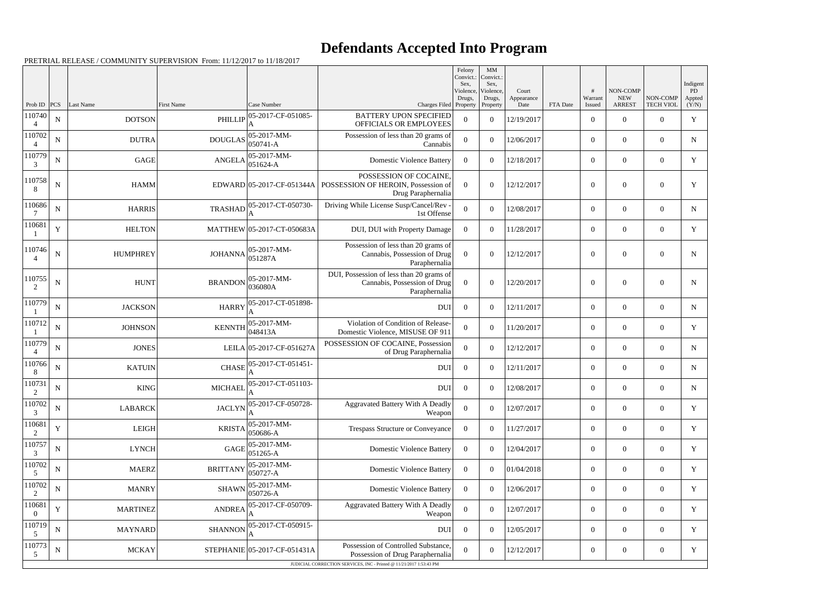## **Defendants Accepted Into Program**

|                          |             |                 |                 |                                                                                                      |                                                                                           | Felony<br>Convict.:<br>Sex. | $\mathbf{M}\mathbf{M}$<br>Convict.:<br>Sex, |                             |          | #                 | NON-COMP                    |                              | Indigent              |
|--------------------------|-------------|-----------------|-----------------|------------------------------------------------------------------------------------------------------|-------------------------------------------------------------------------------------------|-----------------------------|---------------------------------------------|-----------------------------|----------|-------------------|-----------------------------|------------------------------|-----------------------|
| Prob ID $ PCS $          |             | Last Name       | First Name      | Case Number                                                                                          | Charges Filed Property                                                                    | Violence,<br>Drugs,         | Violence,<br>Drugs,<br>Property             | Court<br>Appearance<br>Date | FTA Date | Warrant<br>Issued | <b>NEW</b><br><b>ARREST</b> | NON-COMP<br><b>TECH VIOL</b> | PD<br>Appted<br>(Y/N) |
| 110740<br>$\overline{4}$ | ${\bf N}$   | <b>DOTSON</b>   |                 | PHILLIP $\left  \frac{05 - 2017 - CF - 051085}{4} \right $<br>A                                      | <b>BATTERY UPON SPECIFIED</b><br>OFFICIALS OR EMPLOYEES                                   | $\overline{0}$              | $\boldsymbol{0}$                            | 12/19/2017                  |          | $\boldsymbol{0}$  | $\overline{0}$              | $\overline{0}$               | Y                     |
| 110702                   | ${\bf N}$   | <b>DUTRA</b>    |                 | DOUGLAS $\begin{array}{ l} 05-2017-MM-0.50741-A \end{array}$                                         | Possession of less than 20 grams of<br>Cannabis                                           | $\overline{0}$              | $\theta$                                    | 12/06/2017                  |          | $\overline{0}$    | $\overline{0}$              | $\overline{0}$               | N                     |
| 110779<br>3              | ${\bf N}$   | <b>GAGE</b>     | <b>ANGELA</b>   | $ 05-2017-MM-$<br>$ 051624 - A$                                                                      | <b>Domestic Violence Battery</b>                                                          | $\overline{0}$              | $\theta$                                    | 12/18/2017                  |          | $\boldsymbol{0}$  | $\overline{0}$              | $\overline{0}$               | Y                     |
| 110758<br>8              | ${\bf N}$   | <b>HAMM</b>     |                 | EDWARD 05-2017-CF-051344A                                                                            | POSSESSION OF COCAINE,<br>POSSESSION OF HEROIN, Possession of<br>Drug Paraphernalia       | $\Omega$                    | $\theta$                                    | 12/12/2017                  |          | $\boldsymbol{0}$  | $\overline{0}$              | $\boldsymbol{0}$             | Y                     |
| 110686                   | ${\bf N}$   | <b>HARRIS</b>   | <b>TRASHAD</b>  | 05-2017-CT-050730-<br>A                                                                              | Driving While License Susp/Cancel/Rev<br>1st Offense                                      | $\theta$                    | $\theta$                                    | 12/08/2017                  |          | $\boldsymbol{0}$  | $\overline{0}$              | $\overline{0}$               | $\mathbf N$           |
| 110681                   | $\mathbf Y$ | <b>HELTON</b>   |                 | MATTHEW 05-2017-CT-050683A                                                                           | DUI, DUI with Property Damage                                                             | $\Omega$                    | $\theta$                                    | 11/28/2017                  |          | $\overline{0}$    | $\overline{0}$              | $\overline{0}$               | Y                     |
| 110746<br>$\overline{4}$ | ${\bf N}$   | <b>HUMPHREY</b> | <b>JOHANNA</b>  | 05-2017-MM-<br>051287A                                                                               | Possession of less than 20 grams of<br>Cannabis, Possession of Drug<br>Paraphernalia      | $\theta$                    | $\theta$                                    | 12/12/2017                  |          | $\boldsymbol{0}$  | $\overline{0}$              | $\boldsymbol{0}$             | N                     |
| 110755<br>2              | ${\bf N}$   | <b>HUNT</b>     | <b>BRANDON</b>  | $ 05-2017-MM-$<br>036080A                                                                            | DUI, Possession of less than 20 grams of<br>Cannabis, Possession of Drug<br>Paraphernalia | $\theta$                    | $\overline{0}$                              | 12/20/2017                  |          | $\boldsymbol{0}$  | $\overline{0}$              | $\overline{0}$               | N                     |
| 110779                   | ${\bf N}$   | <b>JACKSON</b>  | <b>HARRY</b>    | 05-2017-CT-051898-                                                                                   | DUI                                                                                       | $\overline{0}$              | $\theta$                                    | 12/11/2017                  |          | $\overline{0}$    | $\overline{0}$              | $\overline{0}$               | N                     |
| 110712                   | ${\bf N}$   | <b>JOHNSON</b>  | <b>KENNTH</b>   | $ 05-2017-MM-$<br>048413A                                                                            | Violation of Condition of Release-<br>Domestic Violence, MISUSE OF 911                    | $\Omega$                    | $\theta$                                    | 11/20/2017                  |          | $\overline{0}$    | $\overline{0}$              | $\overline{0}$               | Y                     |
| 110779<br>$\overline{A}$ | ${\bf N}$   | <b>JONES</b>    |                 | LEILA 05-2017-CF-051627A                                                                             | POSSESSION OF COCAINE, Possession<br>of Drug Paraphernalia                                | $\mathbf{0}$                | $\theta$                                    | 12/12/2017                  |          | $\overline{0}$    | $\overline{0}$              | $\overline{0}$               | N                     |
| 110766<br>8              | ${\bf N}$   | <b>KATUIN</b>   |                 | CHASE 05-2017-CT-051451-                                                                             | <b>DUI</b>                                                                                | $\overline{0}$              | $\overline{0}$                              | 12/11/2017                  |          | $\overline{0}$    | $\boldsymbol{0}$            | $\overline{0}$               | $N_{\rm}$             |
| 110731<br>2              | ${\bf N}$   | <b>KING</b>     | <b>MICHAEL</b>  | 05-2017-CT-051103-                                                                                   | <b>DUI</b>                                                                                | $\overline{0}$              | $\theta$                                    | 12/08/2017                  |          | $\boldsymbol{0}$  | $\overline{0}$              | $\overline{0}$               | N                     |
| 110702<br>3              | ${\bf N}$   | <b>LABARCK</b>  |                 | $\text{JACLYN}\Big ^{05\text{-}2017\text{-}\mathrm{CF}\text{-}050728\text{-}}_{\color{red}\text{--}$ | Aggravated Battery With A Deadly<br>Weapon                                                | $\overline{0}$              | $\overline{0}$                              | 12/07/2017                  |          | $\boldsymbol{0}$  | $\boldsymbol{0}$            | $\boldsymbol{0}$             | Y                     |
| 110681<br>2              | $\mathbf Y$ | <b>LEIGH</b>    | <b>KRISTA</b>   | $ 05-2017-MM-$<br>050686-A                                                                           | Trespass Structure or Conveyance                                                          | $\overline{0}$              | $\overline{0}$                              | 11/27/2017                  |          | $\overline{0}$    | $\overline{0}$              | $\overline{0}$               | Y                     |
| 110757<br>3              | ${\bf N}$   | <b>LYNCH</b>    | <b>GAGE</b>     | 05-2017-MM-<br>$ 051265-A$                                                                           | <b>Domestic Violence Battery</b>                                                          | $\overline{0}$              | $\overline{0}$                              | 12/04/2017                  |          | $\overline{0}$    | $\overline{0}$              | $\overline{0}$               | Y                     |
| 110702<br>5              | $\mathbf N$ | <b>MAERZ</b>    | <b>BRITTANY</b> | 05-2017-MM-<br>050727-A                                                                              | <b>Domestic Violence Battery</b>                                                          | $\overline{0}$              | $\overline{0}$                              | 01/04/2018                  |          | $\boldsymbol{0}$  | $\overline{0}$              | $\overline{0}$               | Y                     |
| 110702<br>2              | ${\bf N}$   | <b>MANRY</b>    | <b>SHAWN</b>    | $ 05-2017-MM-$<br>050726-A                                                                           | <b>Domestic Violence Battery</b>                                                          | $\overline{0}$              | $\overline{0}$                              | 12/06/2017                  |          | $\overline{0}$    | $\overline{0}$              | $\overline{0}$               | Y                     |
| 110681<br>$\Omega$       | $\mathbf Y$ | <b>MARTINEZ</b> | <b>ANDREA</b>   | 05-2017-CF-050709-                                                                                   | Aggravated Battery With A Deadly<br>Weapon                                                | $\overline{0}$              | $\overline{0}$                              | 12/07/2017                  |          | $\boldsymbol{0}$  | $\overline{0}$              | $\overline{0}$               | Y                     |
| 110719<br>5              | ${\bf N}$   | <b>MAYNARD</b>  | <b>SHANNON</b>  | 05-2017-CT-050915-                                                                                   | <b>DUI</b>                                                                                | $\overline{0}$              | $\overline{0}$                              | 12/05/2017                  |          | $\boldsymbol{0}$  | $\overline{0}$              | $\overline{0}$               | Y                     |
| 110773<br>5              | ${\bf N}$   | <b>MCKAY</b>    |                 | STEPHANIE 05-2017-CF-051431A                                                                         | Possession of Controlled Substance,<br>Possession of Drug Paraphernalia                   | $\Omega$                    | $\boldsymbol{0}$                            | 12/12/2017                  |          | $\boldsymbol{0}$  | $\overline{0}$              | $\overline{0}$               | Y                     |
|                          |             |                 |                 |                                                                                                      | JUDICIAL CORRECTION SERVICES, INC - Printed @ 11/21/2017 1:53:43 PM                       |                             |                                             |                             |          |                   |                             |                              |                       |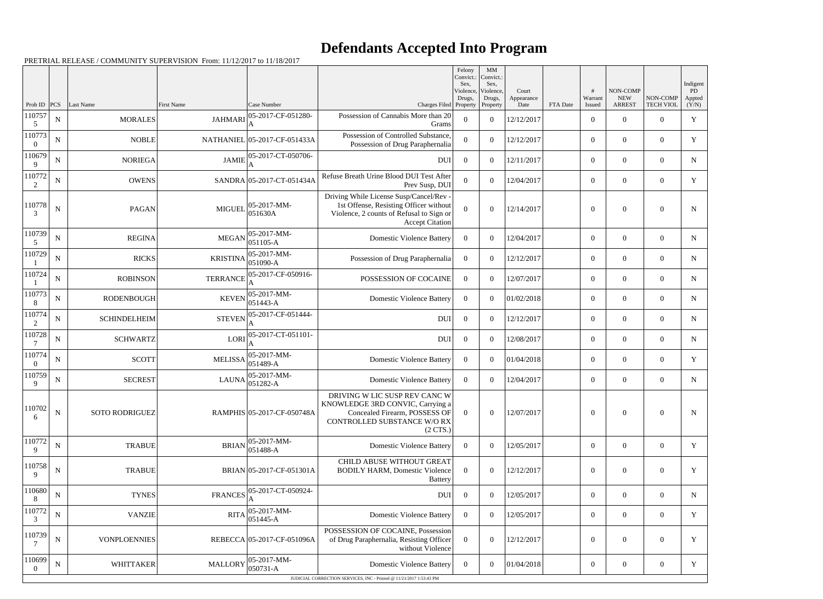## **Defendants Accepted Into Program**

|                        |             |                       |                   |                              |                                                                                                                                                         | Felony<br>Convict.:<br>Sex. | MM<br>Convict.:<br>Sex, |                     |          |                        |                                         |                              | Indigent      |
|------------------------|-------------|-----------------------|-------------------|------------------------------|---------------------------------------------------------------------------------------------------------------------------------------------------------|-----------------------------|-------------------------|---------------------|----------|------------------------|-----------------------------------------|------------------------------|---------------|
|                        | PCS         | Last Name             | <b>First Name</b> | Case Number                  |                                                                                                                                                         | Violence,<br>Drugs,         | Violence.<br>Drugs,     | Court<br>Appearance |          | #<br>Warrant           | NON-COMP<br><b>NEW</b><br><b>ARREST</b> | NON-COMP<br><b>TECH VIOL</b> | PD.<br>Appted |
| Prob ID<br>110757<br>5 | ${\bf N}$   | <b>MORALES</b>        | <b>JAHMARI</b>    | 05-2017-CF-051280-<br>А      | Charges Filed Property<br>Possession of Cannabis More than 20<br>Grams                                                                                  | $\overline{0}$              | Property<br>$\theta$    | Date<br>12/12/2017  | FTA Date | Issued<br>$\mathbf{0}$ | $\theta$                                | $\Omega$                     | (Y/N)<br>Y    |
| 110773<br>$\Omega$     | $\mathbf N$ | <b>NOBLE</b>          |                   | NATHANIEL 05-2017-CF-051433A | Possession of Controlled Substance,<br>Possession of Drug Paraphernalia                                                                                 | $\Omega$                    | $\theta$                | 12/12/2017          |          | $\overline{0}$         | $\Omega$                                | $\Omega$                     | Y             |
| 110679<br>9            | ${\bf N}$   | <b>NORIEGA</b>        | <b>JAMIE</b>      | 05-2017-CT-050706-           | <b>DUI</b>                                                                                                                                              | $\theta$                    | $\theta$                | 12/11/2017          |          | $\overline{0}$         | $\Omega$                                | $\Omega$                     | $\mathbf N$   |
| 110772<br>2            | $\mathbf N$ | <b>OWENS</b>          |                   | SANDRA 05-2017-CT-051434A    | Refuse Breath Urine Blood DUI Test After<br>Prev Susp, DUI                                                                                              | $\Omega$                    | $\theta$                | 12/04/2017          |          | $\overline{0}$         | $\overline{0}$                          | $\Omega$                     | Y             |
| 110778<br>3            | ${\bf N}$   | <b>PAGAN</b>          | <b>MIGUEI</b>     | 05-2017-MM-<br>051630A       | Driving While License Susp/Cancel/Rev -<br>1st Offense, Resisting Officer without<br>Violence, 2 counts of Refusal to Sign or<br><b>Accept Citation</b> | $\Omega$                    | $\theta$                | 12/14/2017          |          | $\Omega$               | $\Omega$                                | $\Omega$                     | N             |
| 110739<br>-5           | $\mathbf N$ | <b>REGINA</b>         | <b>MEGAN</b>      | 05-2017-MM-<br>051105-A      | <b>Domestic Violence Battery</b>                                                                                                                        | $\Omega$                    | $\theta$                | 12/04/2017          |          | $\mathbf{0}$           | $\overline{0}$                          | $\theta$                     | N             |
| 110729                 | $\mathbf N$ | <b>RICKS</b>          | <b>KRISTINA</b>   | 05-2017-MM-<br>051090-A      | Possession of Drug Paraphernalia                                                                                                                        | $\overline{0}$              | $\theta$                | 12/12/2017          |          | $\overline{0}$         | $\overline{0}$                          | $\theta$                     | $\mathbf N$   |
| 110724                 | $\mathbf N$ | <b>ROBINSON</b>       | <b>TERRANCE</b>   | 05-2017-CF-050916-           | POSSESSION OF COCAINE                                                                                                                                   | $\overline{0}$              | $\overline{0}$          | 12/07/2017          |          | $\overline{0}$         | $\overline{0}$                          | $\Omega$                     | N             |
| 110773<br>8            | ${\bf N}$   | <b>RODENBOUGH</b>     | <b>KEVEN</b>      | 05-2017-MM-<br>051443-A      | <b>Domestic Violence Battery</b>                                                                                                                        | $\overline{0}$              | $\theta$                | 01/02/2018          |          | $\mathbf{0}$           | $\overline{0}$                          | $\theta$                     | N             |
| 110774<br>2            | N           | <b>SCHINDELHEIM</b>   | <b>STEVEN</b>     | 05-2017-CF-051444-           | <b>DUI</b>                                                                                                                                              | $\overline{0}$              | $\theta$                | 12/12/2017          |          | $\mathbf{0}$           | $\overline{0}$                          | $\Omega$                     | N             |
| 110728                 | ${\bf N}$   | <b>SCHWARTZ</b>       | LORI              | 05-2017-CT-051101-           | <b>DUI</b>                                                                                                                                              | $\overline{0}$              | $\theta$                | 12/08/2017          |          | $\overline{0}$         | $\overline{0}$                          | $\theta$                     | $\mathbf N$   |
| 110774<br>$\Omega$     | $\mathbf N$ | <b>SCOTT</b>          | <b>MELISSA</b>    | 05-2017-MM-<br>051489-A      | <b>Domestic Violence Battery</b>                                                                                                                        | $\Omega$                    | $\overline{0}$          | 01/04/2018          |          | $\mathbf{0}$           | $\overline{0}$                          | $\Omega$                     | Y             |
| 110759<br>9            | $\mathbf N$ | <b>SECREST</b>        | <b>LAUNA</b>      | 05-2017-MM-<br>051282-A      | <b>Domestic Violence Battery</b>                                                                                                                        | $\overline{0}$              | $\theta$                | 12/04/2017          |          | $\mathbf{0}$           | $\overline{0}$                          | $\overline{0}$               | N             |
| 110702<br>6            | $\mathbf N$ | <b>SOTO RODRIGUEZ</b> |                   | RAMPHIS 05-2017-CF-050748A   | DRIVING W LIC SUSP REV CANC W<br>KNOWLEDGE 3RD CONVIC, Carrying a<br>Concealed Firearm, POSSESS OF<br>CONTROLLED SUBSTANCE W/O RX<br>$(2 \text{ CTS})$  | $\theta$                    | $\overline{0}$          | 12/07/2017          |          | $\mathbf{0}$           | $\overline{0}$                          | $\mathbf{0}$                 | N             |
| 110772<br>9            | $\mathbf N$ | <b>TRABUE</b>         | <b>BRIAN</b>      | 05-2017-MM-<br>051488-A      | <b>Domestic Violence Battery</b>                                                                                                                        | $\overline{0}$              | $\Omega$                | 12/05/2017          |          | $\overline{0}$         | $\overline{0}$                          | $\overline{0}$               | Y             |
| 110758<br>9            | $\mathbf N$ | <b>TRABUE</b>         |                   | BRIAN 05-2017-CF-051301A     | CHILD ABUSE WITHOUT GREAT<br><b>BODILY HARM, Domestic Violence</b><br><b>Battery</b>                                                                    | $\theta$                    | $\overline{0}$          | 12/12/2017          |          | $\boldsymbol{0}$       | $\overline{0}$                          | $\theta$                     | Y             |
| 110680<br>8            | $\mathbf N$ | <b>TYNES</b>          | <b>FRANCES</b>    | 05-2017-CT-050924-           | DUI                                                                                                                                                     | $\overline{0}$              | $\overline{0}$          | 12/05/2017          |          | $\overline{0}$         | $\overline{0}$                          | $\overline{0}$               | N             |
| 110772<br>3            | $\mathbf N$ | <b>VANZIE</b>         | <b>RITA</b>       | 05-2017-MM-<br>051445-A      | <b>Domestic Violence Battery</b>                                                                                                                        | $\overline{0}$              | $\overline{0}$          | 12/05/2017          |          | $\boldsymbol{0}$       | $\overline{0}$                          | $\overline{0}$               | Y             |
| 110739                 | ${\bf N}$   | <b>VONPLOENNIES</b>   |                   | REBECCA 05-2017-CF-051096A   | POSSESSION OF COCAINE, Possession<br>of Drug Paraphernalia, Resisting Officer<br>without Violence                                                       | $\Omega$                    | $\overline{0}$          | 12/12/2017          |          | $\boldsymbol{0}$       | $\overline{0}$                          | $\overline{0}$               | Y             |
| 110699<br>$\bf{0}$     | $\mathbf N$ | <b>WHITTAKER</b>      | <b>MALLORY</b>    | 05-2017-MM-<br>050731-A      | <b>Domestic Violence Battery</b><br>JUDICIAL CORRECTION SERVICES, INC - Printed @ 11/21/2017 1:53:43 PM                                                 | $\overline{0}$              | $\overline{0}$          | 01/04/2018          |          | $\overline{0}$         | $\overline{0}$                          | $\overline{0}$               | Y             |